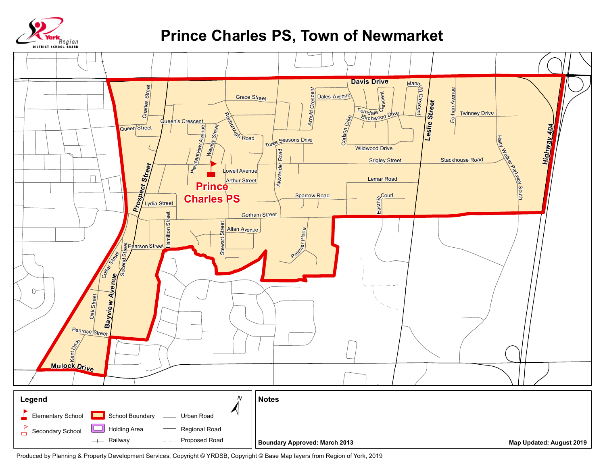

## **Prince Charles PS, Town of Newmarket**



Produced by Planning & Property Development Services, Copyright © YRDSB, Copyright © Base Map layers from Region of York, 2019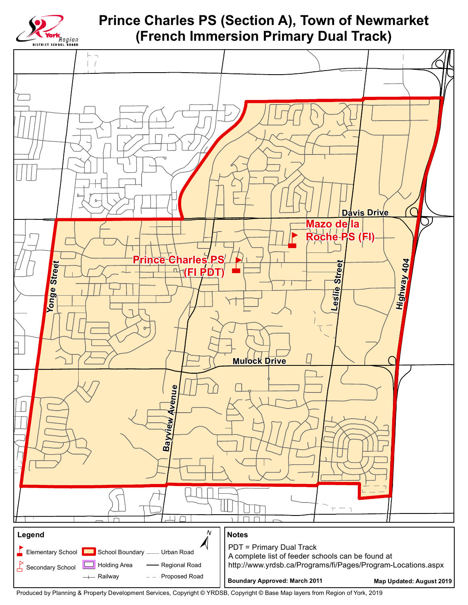

**Prince Charles PS (Section A), Town of Newmarket** (French Immersion Primary Dual Track)



Produced by Planning & Property Development Services, Copyright © YRDSB, Copyright © Base Map layers from Region of York, 2019